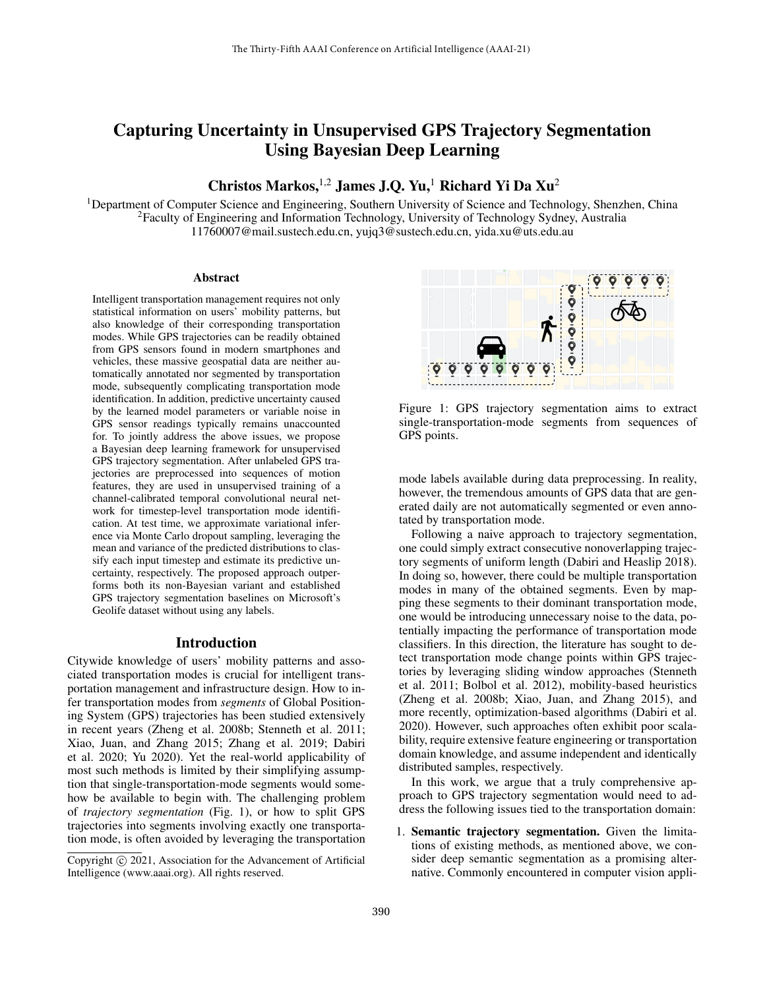# Capturing Uncertainty in Unsupervised GPS Trajectory Segmentation Using Bayesian Deep Learning

Christos Markos, <sup>1,2</sup> James J.O. Yu,<sup>1</sup> Richard Yi Da Xu<sup>2</sup>

<sup>1</sup>Department of Computer Science and Engineering, Southern University of Science and Technology, Shenzhen, China <sup>2</sup>Faculty of Engineering and Information Technology, University of Technology Sydney, Australia 11760007@mail.sustech.edu.cn, yujq3@sustech.edu.cn, yida.xu@uts.edu.au

#### Abstract

Intelligent transportation management requires not only statistical information on users' mobility patterns, but also knowledge of their corresponding transportation modes. While GPS trajectories can be readily obtained from GPS sensors found in modern smartphones and vehicles, these massive geospatial data are neither automatically annotated nor segmented by transportation mode, subsequently complicating transportation mode identification. In addition, predictive uncertainty caused by the learned model parameters or variable noise in GPS sensor readings typically remains unaccounted for. To jointly address the above issues, we propose a Bayesian deep learning framework for unsupervised GPS trajectory segmentation. After unlabeled GPS trajectories are preprocessed into sequences of motion features, they are used in unsupervised training of a channel-calibrated temporal convolutional neural network for timestep-level transportation mode identification. At test time, we approximate variational inference via Monte Carlo dropout sampling, leveraging the mean and variance of the predicted distributions to classify each input timestep and estimate its predictive uncertainty, respectively. The proposed approach outperforms both its non-Bayesian variant and established GPS trajectory segmentation baselines on Microsoft's Geolife dataset without using any labels.

## Introduction

Citywide knowledge of users' mobility patterns and associated transportation modes is crucial for intelligent transportation management and infrastructure design. How to infer transportation modes from *segments* of Global Positioning System (GPS) trajectories has been studied extensively in recent years (Zheng et al. 2008b; Stenneth et al. 2011; Xiao, Juan, and Zhang 2015; Zhang et al. 2019; Dabiri et al. 2020; Yu 2020). Yet the real-world applicability of most such methods is limited by their simplifying assumption that single-transportation-mode segments would somehow be available to begin with. The challenging problem of *trajectory segmentation* (Fig. 1), or how to split GPS trajectories into segments involving exactly one transportation mode, is often avoided by leveraging the transportation



Figure 1: GPS trajectory segmentation aims to extract single-transportation-mode segments from sequences of GPS points.

mode labels available during data preprocessing. In reality, however, the tremendous amounts of GPS data that are generated daily are not automatically segmented or even annotated by transportation mode.

Following a naive approach to trajectory segmentation, one could simply extract consecutive nonoverlapping trajectory segments of uniform length (Dabiri and Heaslip 2018). In doing so, however, there could be multiple transportation modes in many of the obtained segments. Even by mapping these segments to their dominant transportation mode, one would be introducing unnecessary noise to the data, potentially impacting the performance of transportation mode classifiers. In this direction, the literature has sought to detect transportation mode change points within GPS trajectories by leveraging sliding window approaches (Stenneth et al. 2011; Bolbol et al. 2012), mobility-based heuristics (Zheng et al. 2008b; Xiao, Juan, and Zhang 2015), and more recently, optimization-based algorithms (Dabiri et al. 2020). However, such approaches often exhibit poor scalability, require extensive feature engineering or transportation domain knowledge, and assume independent and identically distributed samples, respectively.

In this work, we argue that a truly comprehensive approach to GPS trajectory segmentation would need to address the following issues tied to the transportation domain:

1. Semantic trajectory segmentation. Given the limitations of existing methods, as mentioned above, we consider deep semantic segmentation as a promising alternative. Commonly encountered in computer vision appli-

Copyright  $\odot$  2021, Association for the Advancement of Artificial Intelligence (www.aaai.org). All rights reserved.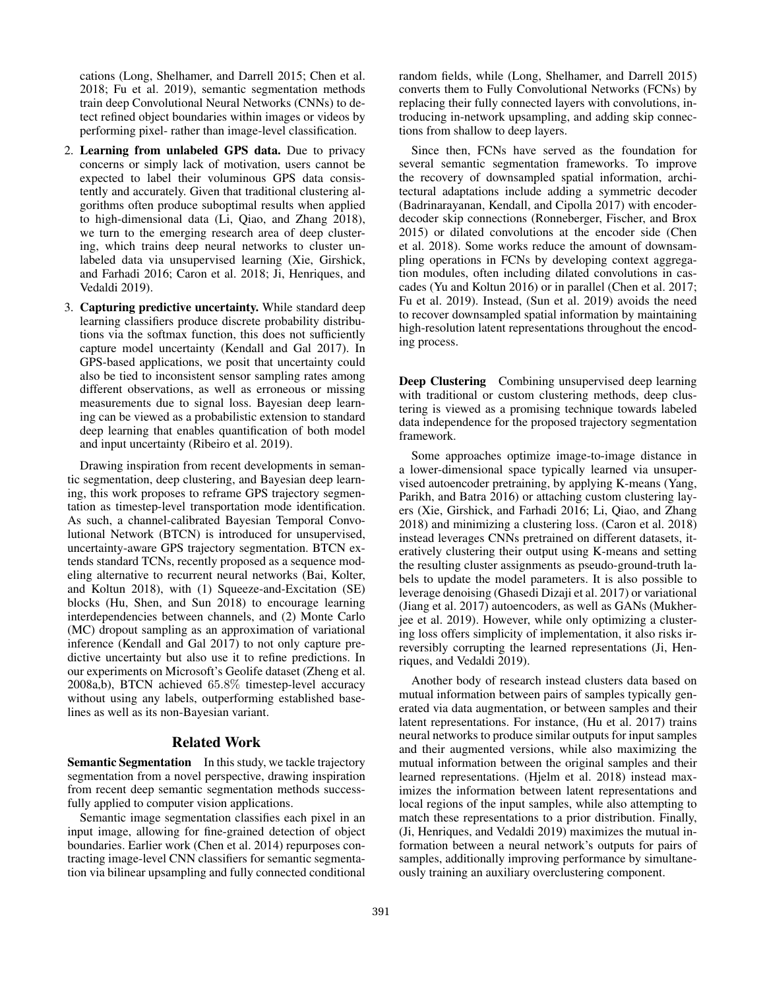cations (Long, Shelhamer, and Darrell 2015; Chen et al. 2018; Fu et al. 2019), semantic segmentation methods train deep Convolutional Neural Networks (CNNs) to detect refined object boundaries within images or videos by performing pixel- rather than image-level classification.

- 2. Learning from unlabeled GPS data. Due to privacy concerns or simply lack of motivation, users cannot be expected to label their voluminous GPS data consistently and accurately. Given that traditional clustering algorithms often produce suboptimal results when applied to high-dimensional data (Li, Qiao, and Zhang 2018), we turn to the emerging research area of deep clustering, which trains deep neural networks to cluster unlabeled data via unsupervised learning (Xie, Girshick, and Farhadi 2016; Caron et al. 2018; Ji, Henriques, and Vedaldi 2019).
- 3. Capturing predictive uncertainty. While standard deep learning classifiers produce discrete probability distributions via the softmax function, this does not sufficiently capture model uncertainty (Kendall and Gal 2017). In GPS-based applications, we posit that uncertainty could also be tied to inconsistent sensor sampling rates among different observations, as well as erroneous or missing measurements due to signal loss. Bayesian deep learning can be viewed as a probabilistic extension to standard deep learning that enables quantification of both model and input uncertainty (Ribeiro et al. 2019).

Drawing inspiration from recent developments in semantic segmentation, deep clustering, and Bayesian deep learning, this work proposes to reframe GPS trajectory segmentation as timestep-level transportation mode identification. As such, a channel-calibrated Bayesian Temporal Convolutional Network (BTCN) is introduced for unsupervised, uncertainty-aware GPS trajectory segmentation. BTCN extends standard TCNs, recently proposed as a sequence modeling alternative to recurrent neural networks (Bai, Kolter, and Koltun 2018), with (1) Squeeze-and-Excitation (SE) blocks (Hu, Shen, and Sun 2018) to encourage learning interdependencies between channels, and (2) Monte Carlo (MC) dropout sampling as an approximation of variational inference (Kendall and Gal 2017) to not only capture predictive uncertainty but also use it to refine predictions. In our experiments on Microsoft's Geolife dataset (Zheng et al. 2008a,b), BTCN achieved 65.8% timestep-level accuracy without using any labels, outperforming established baselines as well as its non-Bayesian variant.

# Related Work

Semantic Segmentation In this study, we tackle trajectory segmentation from a novel perspective, drawing inspiration from recent deep semantic segmentation methods successfully applied to computer vision applications.

Semantic image segmentation classifies each pixel in an input image, allowing for fine-grained detection of object boundaries. Earlier work (Chen et al. 2014) repurposes contracting image-level CNN classifiers for semantic segmentation via bilinear upsampling and fully connected conditional random fields, while (Long, Shelhamer, and Darrell 2015) converts them to Fully Convolutional Networks (FCNs) by replacing their fully connected layers with convolutions, introducing in-network upsampling, and adding skip connections from shallow to deep layers.

Since then, FCNs have served as the foundation for several semantic segmentation frameworks. To improve the recovery of downsampled spatial information, architectural adaptations include adding a symmetric decoder (Badrinarayanan, Kendall, and Cipolla 2017) with encoderdecoder skip connections (Ronneberger, Fischer, and Brox 2015) or dilated convolutions at the encoder side (Chen et al. 2018). Some works reduce the amount of downsampling operations in FCNs by developing context aggregation modules, often including dilated convolutions in cascades (Yu and Koltun 2016) or in parallel (Chen et al. 2017; Fu et al. 2019). Instead, (Sun et al. 2019) avoids the need to recover downsampled spatial information by maintaining high-resolution latent representations throughout the encoding process.

Deep Clustering Combining unsupervised deep learning with traditional or custom clustering methods, deep clustering is viewed as a promising technique towards labeled data independence for the proposed trajectory segmentation framework.

Some approaches optimize image-to-image distance in a lower-dimensional space typically learned via unsupervised autoencoder pretraining, by applying K-means (Yang, Parikh, and Batra 2016) or attaching custom clustering layers (Xie, Girshick, and Farhadi 2016; Li, Qiao, and Zhang 2018) and minimizing a clustering loss. (Caron et al. 2018) instead leverages CNNs pretrained on different datasets, iteratively clustering their output using K-means and setting the resulting cluster assignments as pseudo-ground-truth labels to update the model parameters. It is also possible to leverage denoising (Ghasedi Dizaji et al. 2017) or variational (Jiang et al. 2017) autoencoders, as well as GANs (Mukherjee et al. 2019). However, while only optimizing a clustering loss offers simplicity of implementation, it also risks irreversibly corrupting the learned representations (Ji, Henriques, and Vedaldi 2019).

Another body of research instead clusters data based on mutual information between pairs of samples typically generated via data augmentation, or between samples and their latent representations. For instance, (Hu et al. 2017) trains neural networks to produce similar outputs for input samples and their augmented versions, while also maximizing the mutual information between the original samples and their learned representations. (Hjelm et al. 2018) instead maximizes the information between latent representations and local regions of the input samples, while also attempting to match these representations to a prior distribution. Finally, (Ji, Henriques, and Vedaldi 2019) maximizes the mutual information between a neural network's outputs for pairs of samples, additionally improving performance by simultaneously training an auxiliary overclustering component.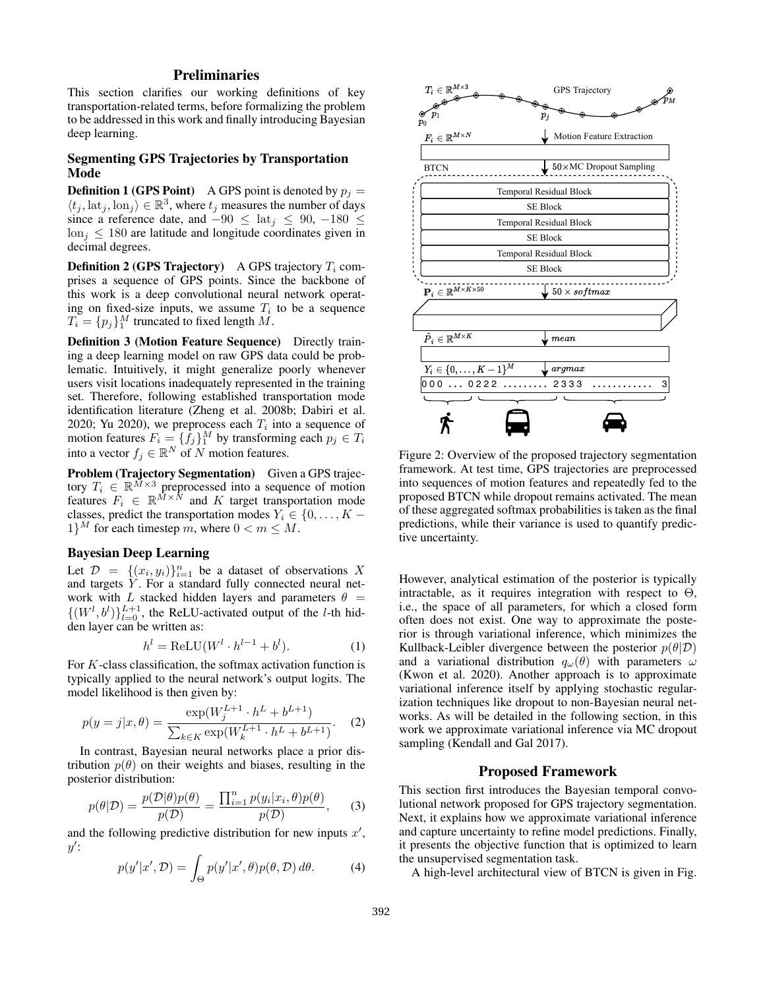# Preliminaries

This section clarifies our working definitions of key transportation-related terms, before formalizing the problem to be addressed in this work and finally introducing Bayesian deep learning.

# Segmenting GPS Trajectories by Transportation Mode

**Definition 1 (GPS Point)** A GPS point is denoted by  $p_i =$  $\langle t_j, \text{lat}_j, \text{lon}_j \rangle \in \mathbb{R}^3$ , where  $t_j$  measures the number of days since a reference date, and  $-90 \le \text{lat}_i \le 90, -180 \le$  $\ln i \leq 180$  are latitude and longitude coordinates given in decimal degrees.

**Definition 2 (GPS Trajectory)** A GPS trajectory  $T_i$  comprises a sequence of GPS points. Since the backbone of this work is a deep convolutional neural network operating on fixed-size inputs, we assume  $T_i$  to be a sequence  $T_i = \{p_j\}_1^M$  truncated to fixed length M.

Definition 3 (Motion Feature Sequence) Directly training a deep learning model on raw GPS data could be problematic. Intuitively, it might generalize poorly whenever users visit locations inadequately represented in the training set. Therefore, following established transportation mode identification literature (Zheng et al. 2008b; Dabiri et al. 2020; Yu 2020), we preprocess each  $T_i$  into a sequence of motion features  $F_i = \{\bar{f}_j\}_1^M$  by transforming each  $p_j \in T_i$ into a vector  $f_j \in \mathbb{R}^N$  of N motion features.

Problem (Trajectory Segmentation) Given a GPS trajectory  $T_i \in \mathbb{R}^{\tilde{M}\times 3}$  preprocessed into a sequence of motion features  $F_i \in \mathbb{R}^{M \times N}$  and K target transportation mode classes, predict the transportation modes  $Y_i \in \{0, \ldots, K - \}$  $1\}^M$  for each timestep m, where  $0 < m \leq M$ .

# Bayesian Deep Learning

Let  $\mathcal{D} = \{(x_i, y_i)\}_{i=1}^n$  be a dataset of observations X and targets  $\hat{Y}$ . For a standard fully connected neural network with L stacked hidden layers and parameters  $\theta =$  $\{(W^l, b^l)\}_{l=0}^{L+1}$ , the ReLU-activated output of the *l*-th hidden layer can be written as:

$$
h^{l} = \text{ReLU}(W^{l} \cdot h^{l-1} + b^{l}).\tag{1}
$$

For  $K$ -class classification, the softmax activation function is typically applied to the neural network's output logits. The model likelihood is then given by:

$$
p(y=j|x,\theta) = \frac{\exp(W_j^{L+1} \cdot h^L + b^{L+1})}{\sum_{k \in K} \exp(W_k^{L+1} \cdot h^L + b^{L+1})}.
$$
 (2)

In contrast, Bayesian neural networks place a prior distribution  $p(\theta)$  on their weights and biases, resulting in the posterior distribution:

$$
p(\theta|\mathcal{D}) = \frac{p(\mathcal{D}|\theta)p(\theta)}{p(\mathcal{D})} = \frac{\prod_{i=1}^{n} p(y_i|x_i, \theta)p(\theta)}{p(\mathcal{D})}, \quad (3)
$$

and the following predictive distribution for new inputs  $x'$ ,  $y'$ :

$$
p(y'|x', \mathcal{D}) = \int_{\Theta} p(y'|x', \theta) p(\theta, \mathcal{D}) \, d\theta. \tag{4}
$$



Figure 2: Overview of the proposed trajectory segmentation framework. At test time, GPS trajectories are preprocessed into sequences of motion features and repeatedly fed to the proposed BTCN while dropout remains activated. The mean of these aggregated softmax probabilities is taken as the final predictions, while their variance is used to quantify predictive uncertainty.

However, analytical estimation of the posterior is typically intractable, as it requires integration with respect to  $\Theta$ , i.e., the space of all parameters, for which a closed form often does not exist. One way to approximate the posterior is through variational inference, which minimizes the Kullback-Leibler divergence between the posterior  $p(\theta|\mathcal{D})$ and a variational distribution  $q_{\omega}(\theta)$  with parameters  $\omega$ (Kwon et al. 2020). Another approach is to approximate variational inference itself by applying stochastic regularization techniques like dropout to non-Bayesian neural networks. As will be detailed in the following section, in this work we approximate variational inference via MC dropout sampling (Kendall and Gal 2017).

# Proposed Framework

This section first introduces the Bayesian temporal convolutional network proposed for GPS trajectory segmentation. Next, it explains how we approximate variational inference and capture uncertainty to refine model predictions. Finally, it presents the objective function that is optimized to learn the unsupervised segmentation task.

A high-level architectural view of BTCN is given in Fig.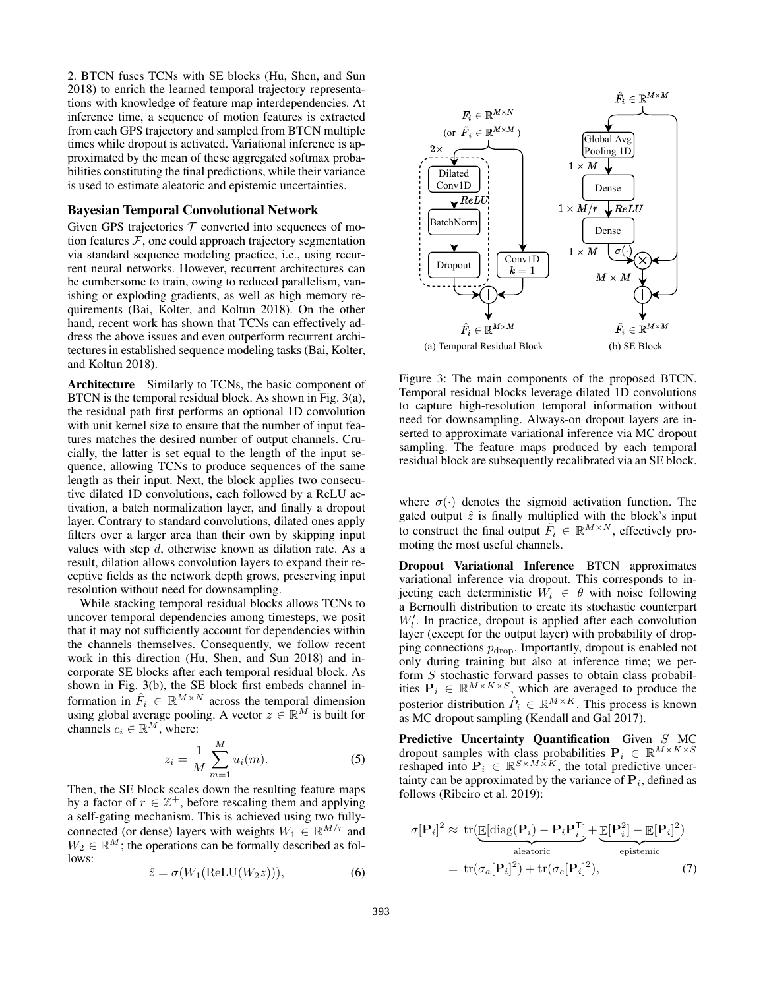2. BTCN fuses TCNs with SE blocks (Hu, Shen, and Sun 2018) to enrich the learned temporal trajectory representations with knowledge of feature map interdependencies. At inference time, a sequence of motion features is extracted from each GPS trajectory and sampled from BTCN multiple times while dropout is activated. Variational inference is approximated by the mean of these aggregated softmax probabilities constituting the final predictions, while their variance is used to estimate aleatoric and epistemic uncertainties.

#### Bayesian Temporal Convolutional Network

Given GPS trajectories  $T$  converted into sequences of motion features  $F$ , one could approach trajectory segmentation via standard sequence modeling practice, i.e., using recurrent neural networks. However, recurrent architectures can be cumbersome to train, owing to reduced parallelism, vanishing or exploding gradients, as well as high memory requirements (Bai, Kolter, and Koltun 2018). On the other hand, recent work has shown that TCNs can effectively address the above issues and even outperform recurrent architectures in established sequence modeling tasks (Bai, Kolter, and Koltun 2018).

Architecture Similarly to TCNs, the basic component of BTCN is the temporal residual block. As shown in Fig. 3(a), the residual path first performs an optional 1D convolution with unit kernel size to ensure that the number of input features matches the desired number of output channels. Crucially, the latter is set equal to the length of the input sequence, allowing TCNs to produce sequences of the same length as their input. Next, the block applies two consecutive dilated 1D convolutions, each followed by a ReLU activation, a batch normalization layer, and finally a dropout layer. Contrary to standard convolutions, dilated ones apply filters over a larger area than their own by skipping input values with step  $d$ , otherwise known as dilation rate. As a result, dilation allows convolution layers to expand their receptive fields as the network depth grows, preserving input resolution without need for downsampling.

While stacking temporal residual blocks allows TCNs to uncover temporal dependencies among timesteps, we posit that it may not sufficiently account for dependencies within the channels themselves. Consequently, we follow recent work in this direction (Hu, Shen, and Sun 2018) and incorporate SE blocks after each temporal residual block. As shown in Fig. 3(b), the SE block first embeds channel information in  $\hat{F}_i \in \mathbb{R}^{M \times N}$  across the temporal dimension using global average pooling. A vector  $z \in \mathbb{R}^M$  is built for channels  $c_i \in \mathbb{R}^M$ , where:

$$
z_i = \frac{1}{M} \sum_{m=1}^{M} u_i(m).
$$
 (5)

Then, the SE block scales down the resulting feature maps by a factor of  $r \in \mathbb{Z}^+$ , before rescaling them and applying a self-gating mechanism. This is achieved using two fullyconnected (or dense) layers with weights  $W_1 \in \mathbb{R}^{M/r}$  and  $W_2 \in \mathbb{R}^M$ ; the operations can be formally described as follows:

$$
\hat{z} = \sigma(W_1(\text{ReLU}(W_2 z))),\tag{6}
$$



Figure 3: The main components of the proposed BTCN. Temporal residual blocks leverage dilated 1D convolutions to capture high-resolution temporal information without need for downsampling. Always-on dropout layers are inserted to approximate variational inference via MC dropout sampling. The feature maps produced by each temporal residual block are subsequently recalibrated via an SE block.

where  $\sigma(\cdot)$  denotes the sigmoid activation function. The gated output  $\hat{z}$  is finally multiplied with the block's input to construct the final output  $\tilde{F}_i \in \mathbb{R}^{M \times N}$ , effectively promoting the most useful channels.

Dropout Variational Inference BTCN approximates variational inference via dropout. This corresponds to injecting each deterministic  $W_l \in \theta$  with noise following a Bernoulli distribution to create its stochastic counterpart  $W'_l$ . In practice, dropout is applied after each convolution layer (except for the output layer) with probability of dropping connections  $p_{\text{drop}}$ . Importantly, dropout is enabled not only during training but also at inference time; we perform S stochastic forward passes to obtain class probabilities  $P_i \in \mathbb{R}^{M \times K \times S}$ , which are averaged to produce the posterior distribution  $\hat{P}_i \in \mathbb{R}^{M \times K}$ . This process is known as MC dropout sampling (Kendall and Gal 2017).

Predictive Uncertainty Quantification Given S MC dropout samples with class probabilities  $P_i \in \mathbb{R}^{M \times K \times S}$ reshaped into  $P_i \in \mathbb{R}^{S \times M \times K}$ , the total predictive uncertainty can be approximated by the variance of  $P_i$ , defined as follows (Ribeiro et al. 2019):

$$
\sigma[\mathbf{P}_i]^2 \approx \text{tr}(\underbrace{\mathbb{E}[\text{diag}(\mathbf{P}_i) - \mathbf{P}_i \mathbf{P}_i^{\mathsf{T}}]}_{\text{aleatoric}} + \underbrace{\mathbb{E}[\mathbf{P}_i^2] - \mathbb{E}[\mathbf{P}_i]^2}_{\text{epistemic}})
$$

$$
= \text{tr}(\sigma_a[\mathbf{P}_i]^2) + \text{tr}(\sigma_e[\mathbf{P}_i]^2), \tag{7}
$$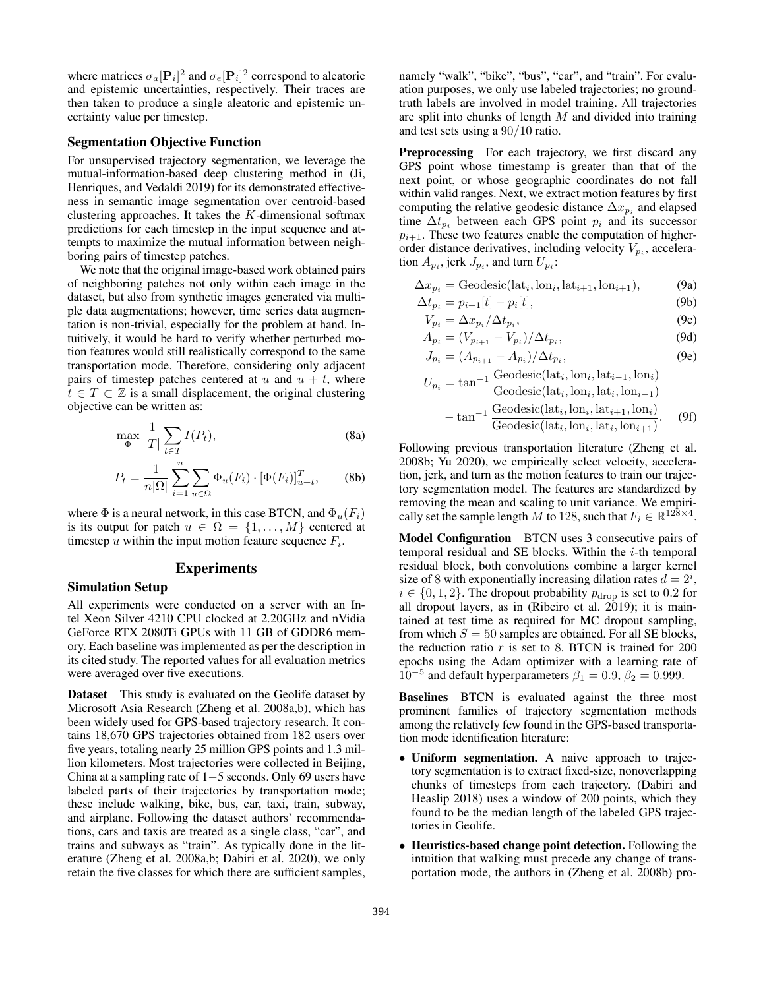where matrices  $\sigma_a [\mathbf{P}_i]^2$  and  $\sigma_e [\mathbf{P}_i]^2$  correspond to aleatoric and epistemic uncertainties, respectively. Their traces are then taken to produce a single aleatoric and epistemic uncertainty value per timestep.

# Segmentation Objective Function

For unsupervised trajectory segmentation, we leverage the mutual-information-based deep clustering method in (Ji, Henriques, and Vedaldi 2019) for its demonstrated effectiveness in semantic image segmentation over centroid-based clustering approaches. It takes the  $K$ -dimensional softmax predictions for each timestep in the input sequence and attempts to maximize the mutual information between neighboring pairs of timestep patches.

We note that the original image-based work obtained pairs of neighboring patches not only within each image in the dataset, but also from synthetic images generated via multiple data augmentations; however, time series data augmentation is non-trivial, especially for the problem at hand. Intuitively, it would be hard to verify whether perturbed motion features would still realistically correspond to the same transportation mode. Therefore, considering only adjacent pairs of timestep patches centered at u and  $u + t$ , where  $t \in T \subset \mathbb{Z}$  is a small displacement, the original clustering objective can be written as:

$$
\max_{\Phi} \frac{1}{|T|} \sum_{t \in T} I(P_t),\tag{8a}
$$

$$
P_t = \frac{1}{n|\Omega|} \sum_{i=1}^n \sum_{u \in \Omega} \Phi_u(F_i) \cdot [\Phi(F_i)]_{u+t}^T, \qquad (8b)
$$

where  $\Phi$  is a neural network, in this case BTCN, and  $\Phi_u(F_i)$ is its output for patch  $u \in \Omega = \{1, \ldots, M\}$  centered at timestep  $u$  within the input motion feature sequence  $F_i$ .

## Experiments

### Simulation Setup

All experiments were conducted on a server with an Intel Xeon Silver 4210 CPU clocked at 2.20GHz and nVidia GeForce RTX 2080Ti GPUs with 11 GB of GDDR6 memory. Each baseline was implemented as per the description in its cited study. The reported values for all evaluation metrics were averaged over five executions.

Dataset This study is evaluated on the Geolife dataset by Microsoft Asia Research (Zheng et al. 2008a,b), which has been widely used for GPS-based trajectory research. It contains 18,670 GPS trajectories obtained from 182 users over five years, totaling nearly 25 million GPS points and 1.3 million kilometers. Most trajectories were collected in Beijing, China at a sampling rate of 1−5 seconds. Only 69 users have labeled parts of their trajectories by transportation mode; these include walking, bike, bus, car, taxi, train, subway, and airplane. Following the dataset authors' recommendations, cars and taxis are treated as a single class, "car", and trains and subways as "train". As typically done in the literature (Zheng et al. 2008a,b; Dabiri et al. 2020), we only retain the five classes for which there are sufficient samples,

namely "walk", "bike", "bus", "car", and "train". For evaluation purposes, we only use labeled trajectories; no groundtruth labels are involved in model training. All trajectories are split into chunks of length  $M$  and divided into training and test sets using a 90/10 ratio.

Preprocessing For each trajectory, we first discard any GPS point whose timestamp is greater than that of the next point, or whose geographic coordinates do not fall within valid ranges. Next, we extract motion features by first computing the relative geodesic distance  $\Delta x_{p_i}$  and elapsed time  $\Delta t_{p_i}$  between each GPS point  $p_i$  and its successor  $p_{i+1}$ . These two features enable the computation of higherorder distance derivatives, including velocity  $V_{p_i}$ , acceleration  $A_{p_i}$ , jerk  $J_{p_i}$ , and turn  $U_{p_i}$ :

$$
\Delta x_{p_i} = \text{Geodesic}(\text{lat}_i, \text{lon}_i, \text{lat}_{i+1}, \text{lon}_{i+1}),\tag{9a}
$$

$$
\Delta t_{p_i} = p_{i+1}[t] - p_i[t],\tag{9b}
$$

$$
V_{p_i} = \Delta x_{p_i} / \Delta t_{p_i},\tag{9c}
$$

$$
A_{p_i} = (V_{p_{i+1}} - V_{p_i})/\Delta t_{p_i},
$$
\n(9d)

$$
J_{p_i} = (A_{p_{i+1}} - A_{p_i})/\Delta t_{p_i},
$$
 (9e)

$$
U_{p_i} = \tan^{-1} \frac{\text{Geodesic}(lati_i, \text{lon}_i, \text{lat}_{i-1}, \text{lon}_i)}{\text{Geodesic}(lati_i, \text{lon}_i, \text{lat}_i, \text{lon}_{i-1})}
$$

$$
-\tan^{-1} \frac{\text{Geodesic}(lati_i, \text{lon}_i, \text{lat}_{i+1}, \text{lon}_i)}{\text{Geodesic}(lati_i, \text{lon}_i, \text{lat}_i, \text{lon}_{i+1})}.
$$
(9f)

Following previous transportation literature (Zheng et al. 2008b; Yu 2020), we empirically select velocity, acceleration, jerk, and turn as the motion features to train our trajectory segmentation model. The features are standardized by removing the mean and scaling to unit variance. We empirically set the sample length M to 128, such that  $F_i \in \mathbb{R}^{128 \times 4}$ .

Model Configuration BTCN uses 3 consecutive pairs of temporal residual and SE blocks. Within the  $i$ -th temporal residual block, both convolutions combine a larger kernel size of 8 with exponentially increasing dilation rates  $d = 2^i$ ,  $i \in \{0, 1, 2\}$ . The dropout probability  $p_{drop}$  is set to 0.2 for all dropout layers, as in (Ribeiro et al. 2019); it is maintained at test time as required for MC dropout sampling, from which  $S = 50$  samples are obtained. For all SE blocks, the reduction ratio  $r$  is set to 8. BTCN is trained for 200 epochs using the Adam optimizer with a learning rate of  $10^{-5}$  and default hyperparameters  $\beta_1 = 0.9$ ,  $\beta_2 = 0.999$ .

Baselines BTCN is evaluated against the three most prominent families of trajectory segmentation methods among the relatively few found in the GPS-based transportation mode identification literature:

- Uniform segmentation. A naive approach to trajectory segmentation is to extract fixed-size, nonoverlapping chunks of timesteps from each trajectory. (Dabiri and Heaslip 2018) uses a window of 200 points, which they found to be the median length of the labeled GPS trajectories in Geolife.
- Heuristics-based change point detection. Following the intuition that walking must precede any change of transportation mode, the authors in (Zheng et al. 2008b) pro-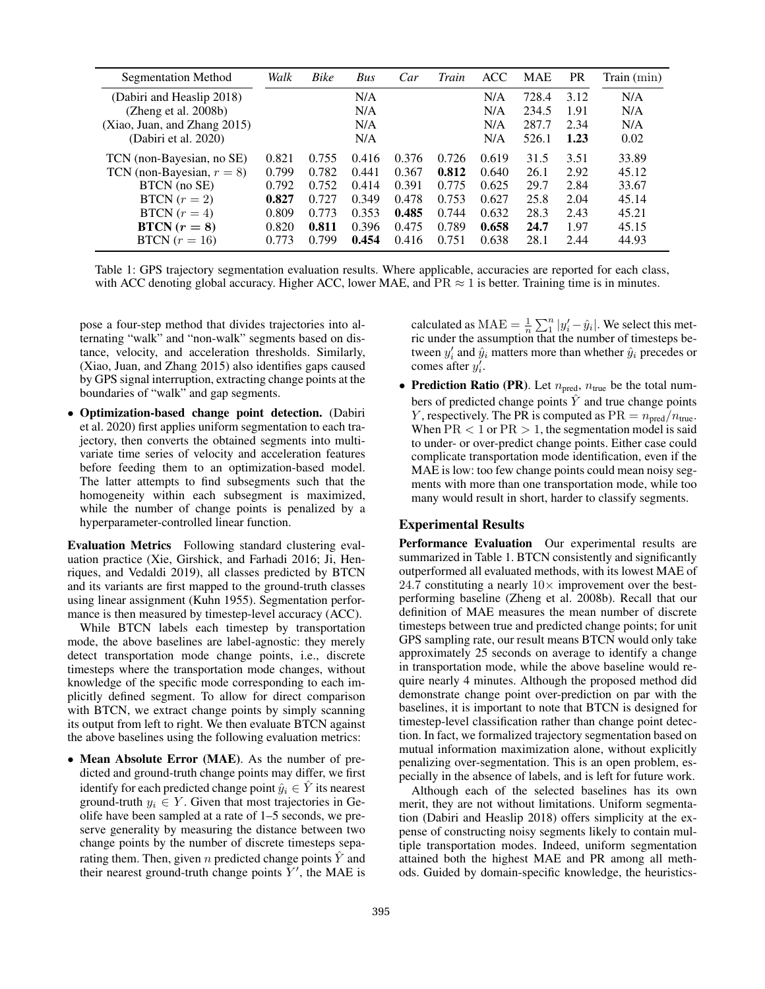| <b>Segmentation Method</b>   | Walk  | <b>Bike</b> | Bus   | Car   | Train | <b>ACC</b> | <b>MAE</b> | <b>PR</b> | Train (min) |
|------------------------------|-------|-------------|-------|-------|-------|------------|------------|-----------|-------------|
| (Dabiri and Heaslip 2018)    |       |             | N/A   |       |       | N/A        | 728.4      | 3.12      | N/A         |
| (Zheng et al. 2008b)         |       |             | N/A   |       |       | N/A        | 234.5      | 1.91      | N/A         |
| (Xiao, Juan, and Zhang 2015) |       |             | N/A   |       |       | N/A        | 287.7      | 2.34      | N/A         |
| (Dabiri et al. 2020)         |       |             | N/A   |       |       | N/A        | 526.1      | 1.23      | 0.02        |
| TCN (non-Bayesian, no SE)    | 0.821 | 0.755       | 0.416 | 0.376 | 0.726 | 0.619      | 31.5       | 3.51      | 33.89       |
| TCN (non-Bayesian, $r = 8$ ) | 0.799 | 0.782       | 0.441 | 0.367 | 0.812 | 0.640      | 26.1       | 2.92      | 45.12       |
| BTCN (no SE)                 | 0.792 | 0.752       | 0.414 | 0.391 | 0.775 | 0.625      | 29.7       | 2.84      | 33.67       |
| BTCN $(r = 2)$               | 0.827 | 0.727       | 0.349 | 0.478 | 0.753 | 0.627      | 25.8       | 2.04      | 45.14       |
| BTCN $(r = 4)$               | 0.809 | 0.773       | 0.353 | 0.485 | 0.744 | 0.632      | 28.3       | 2.43      | 45.21       |
| $BTCN (r = 8)$               | 0.820 | 0.811       | 0.396 | 0.475 | 0.789 | 0.658      | 24.7       | 1.97      | 45.15       |
| BTCN $(r = 16)$              | 0.773 | 0.799       | 0.454 | 0.416 | 0.751 | 0.638      | 28.1       | 2.44      | 44.93       |

Table 1: GPS trajectory segmentation evaluation results. Where applicable, accuracies are reported for each class, with ACC denoting global accuracy. Higher ACC, lower MAE, and  $PR \approx 1$  is better. Training time is in minutes.

pose a four-step method that divides trajectories into alternating "walk" and "non-walk" segments based on distance, velocity, and acceleration thresholds. Similarly, (Xiao, Juan, and Zhang 2015) also identifies gaps caused by GPS signal interruption, extracting change points at the boundaries of "walk" and gap segments.

• Optimization-based change point detection. (Dabiri et al. 2020) first applies uniform segmentation to each trajectory, then converts the obtained segments into multivariate time series of velocity and acceleration features before feeding them to an optimization-based model. The latter attempts to find subsegments such that the homogeneity within each subsegment is maximized, while the number of change points is penalized by a hyperparameter-controlled linear function.

Evaluation Metrics Following standard clustering evaluation practice (Xie, Girshick, and Farhadi 2016; Ji, Henriques, and Vedaldi 2019), all classes predicted by BTCN and its variants are first mapped to the ground-truth classes using linear assignment (Kuhn 1955). Segmentation performance is then measured by timestep-level accuracy (ACC).

While BTCN labels each timestep by transportation mode, the above baselines are label-agnostic: they merely detect transportation mode change points, i.e., discrete timesteps where the transportation mode changes, without knowledge of the specific mode corresponding to each implicitly defined segment. To allow for direct comparison with BTCN, we extract change points by simply scanning its output from left to right. We then evaluate BTCN against the above baselines using the following evaluation metrics:

• Mean Absolute Error (MAE). As the number of predicted and ground-truth change points may differ, we first identify for each predicted change point  $\hat{y}_i \in \hat{Y}$  its nearest ground-truth  $y_i \in Y$ . Given that most trajectories in Geolife have been sampled at a rate of 1–5 seconds, we preserve generality by measuring the distance between two change points by the number of discrete timesteps separating them. Then, given n predicted change points  $\hat{Y}$  and their nearest ground-truth change points  $Y'$ , the MAE is

calculated as  $\text{MAE} = \frac{1}{n} \sum_{i=1}^{n} |y'_i - \hat{y}_i|$ . We select this metric under the assumption that the number of timesteps between  $y_i'$  and  $\hat{y}_i$  matters more than whether  $\hat{y}_i$  precedes or comes after  $y_i^{\prime}$ .

• Prediction Ratio (PR). Let  $n_{pred}$ ,  $n_{true}$  be the total numbers of predicted change points  $\hat{Y}$  and true change points Y, respectively. The PR is computed as  $PR = n_{pred}/n_{true}$ . When  $PR < 1$  or  $PR > 1$ , the segmentation model is said to under- or over-predict change points. Either case could complicate transportation mode identification, even if the MAE is low: too few change points could mean noisy segments with more than one transportation mode, while too many would result in short, harder to classify segments.

# Experimental Results

Performance Evaluation Our experimental results are summarized in Table 1. BTCN consistently and significantly outperformed all evaluated methods, with its lowest MAE of 24.7 constituting a nearly  $10\times$  improvement over the bestperforming baseline (Zheng et al. 2008b). Recall that our definition of MAE measures the mean number of discrete timesteps between true and predicted change points; for unit GPS sampling rate, our result means BTCN would only take approximately 25 seconds on average to identify a change in transportation mode, while the above baseline would require nearly 4 minutes. Although the proposed method did demonstrate change point over-prediction on par with the baselines, it is important to note that BTCN is designed for timestep-level classification rather than change point detection. In fact, we formalized trajectory segmentation based on mutual information maximization alone, without explicitly penalizing over-segmentation. This is an open problem, especially in the absence of labels, and is left for future work.

Although each of the selected baselines has its own merit, they are not without limitations. Uniform segmentation (Dabiri and Heaslip 2018) offers simplicity at the expense of constructing noisy segments likely to contain multiple transportation modes. Indeed, uniform segmentation attained both the highest MAE and PR among all methods. Guided by domain-specific knowledge, the heuristics-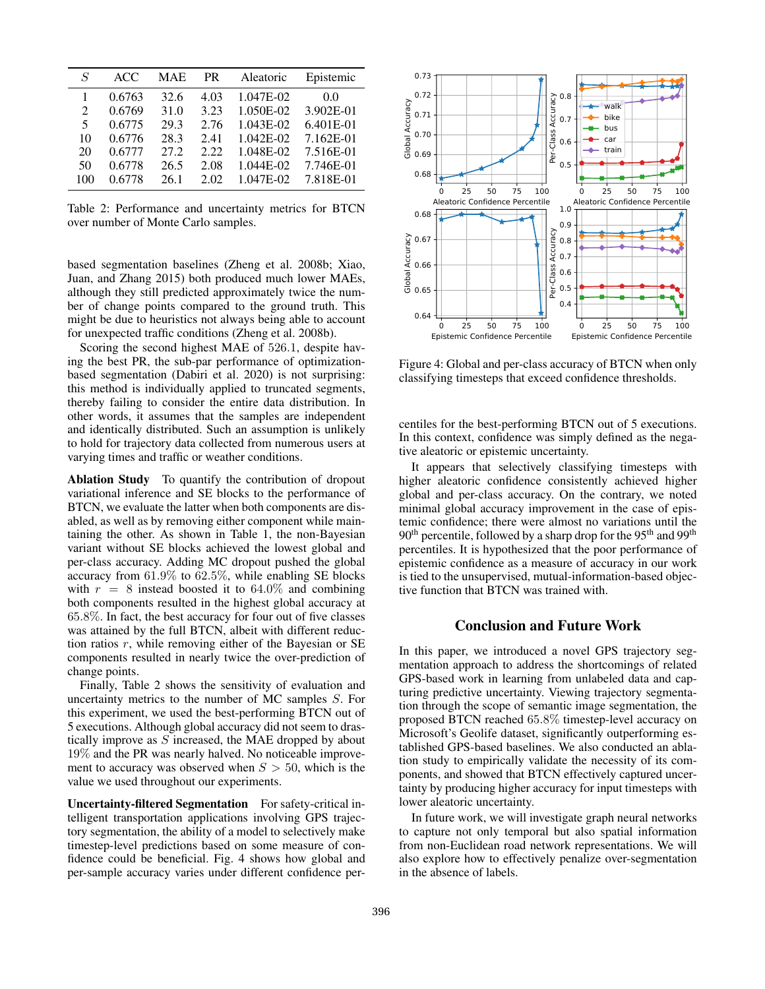| $\overline{S}$              | ACC.   | <b>MAE</b> | <b>PR</b> | Aleatoric | Epistemic |
|-----------------------------|--------|------------|-----------|-----------|-----------|
|                             | 0.6763 | 32.6       | 4.03      | 1.047E-02 | 0.0       |
| $\mathcal{D}_{\mathcal{L}}$ | 0.6769 | 31.0       | 3.23      | 1.050E-02 | 3.902E-01 |
| 5                           | 0.6775 | 29.3       | 2.76      | 1.043E-02 | 6.401E-01 |
| 10                          | 0.6776 | 28.3       | 2.41      | 1.042E-02 | 7.162E-01 |
| 20                          | 0.6777 | 27.2       | 2.22      | 1.048E-02 | 7.516E-01 |
| 50                          | 0.6778 | 26.5       | 2.08      | 1.044E-02 | 7.746E-01 |
| 100                         | 0.6778 | 26.1       | 2.02      | 1.047E-02 | 7.818E-01 |

Table 2: Performance and uncertainty metrics for BTCN over number of Monte Carlo samples.

based segmentation baselines (Zheng et al. 2008b; Xiao, Juan, and Zhang 2015) both produced much lower MAEs, although they still predicted approximately twice the number of change points compared to the ground truth. This might be due to heuristics not always being able to account for unexpected traffic conditions (Zheng et al. 2008b).

Scoring the second highest MAE of 526.1, despite having the best PR, the sub-par performance of optimizationbased segmentation (Dabiri et al. 2020) is not surprising: this method is individually applied to truncated segments, thereby failing to consider the entire data distribution. In other words, it assumes that the samples are independent and identically distributed. Such an assumption is unlikely to hold for trajectory data collected from numerous users at varying times and traffic or weather conditions.

Ablation Study To quantify the contribution of dropout variational inference and SE blocks to the performance of BTCN, we evaluate the latter when both components are disabled, as well as by removing either component while maintaining the other. As shown in Table 1, the non-Bayesian variant without SE blocks achieved the lowest global and per-class accuracy. Adding MC dropout pushed the global accuracy from 61.9% to 62.5%, while enabling SE blocks with  $r = 8$  instead boosted it to 64.0% and combining both components resulted in the highest global accuracy at 65.8%. In fact, the best accuracy for four out of five classes was attained by the full BTCN, albeit with different reduction ratios  $r$ , while removing either of the Bayesian or SE components resulted in nearly twice the over-prediction of change points.

Finally, Table 2 shows the sensitivity of evaluation and uncertainty metrics to the number of MC samples S. For this experiment, we used the best-performing BTCN out of 5 executions. Although global accuracy did not seem to drastically improve as  $S$  increased, the MAE dropped by about 19% and the PR was nearly halved. No noticeable improvement to accuracy was observed when  $S > 50$ , which is the value we used throughout our experiments.

Uncertainty-filtered Segmentation For safety-critical intelligent transportation applications involving GPS trajectory segmentation, the ability of a model to selectively make timestep-level predictions based on some measure of confidence could be beneficial. Fig. 4 shows how global and per-sample accuracy varies under different confidence per-



Figure 4: Global and per-class accuracy of BTCN when only classifying timesteps that exceed confidence thresholds.

centiles for the best-performing BTCN out of 5 executions. In this context, confidence was simply defined as the negative aleatoric or epistemic uncertainty.

It appears that selectively classifying timesteps with higher aleatoric confidence consistently achieved higher global and per-class accuracy. On the contrary, we noted minimal global accuracy improvement in the case of epistemic confidence; there were almost no variations until the 90<sup>th</sup> percentile, followed by a sharp drop for the 95<sup>th</sup> and 99<sup>th</sup> percentiles. It is hypothesized that the poor performance of epistemic confidence as a measure of accuracy in our work is tied to the unsupervised, mutual-information-based objective function that BTCN was trained with.

## Conclusion and Future Work

In this paper, we introduced a novel GPS trajectory segmentation approach to address the shortcomings of related GPS-based work in learning from unlabeled data and capturing predictive uncertainty. Viewing trajectory segmentation through the scope of semantic image segmentation, the proposed BTCN reached 65.8% timestep-level accuracy on Microsoft's Geolife dataset, significantly outperforming established GPS-based baselines. We also conducted an ablation study to empirically validate the necessity of its components, and showed that BTCN effectively captured uncertainty by producing higher accuracy for input timesteps with lower aleatoric uncertainty.

In future work, we will investigate graph neural networks to capture not only temporal but also spatial information from non-Euclidean road network representations. We will also explore how to effectively penalize over-segmentation in the absence of labels.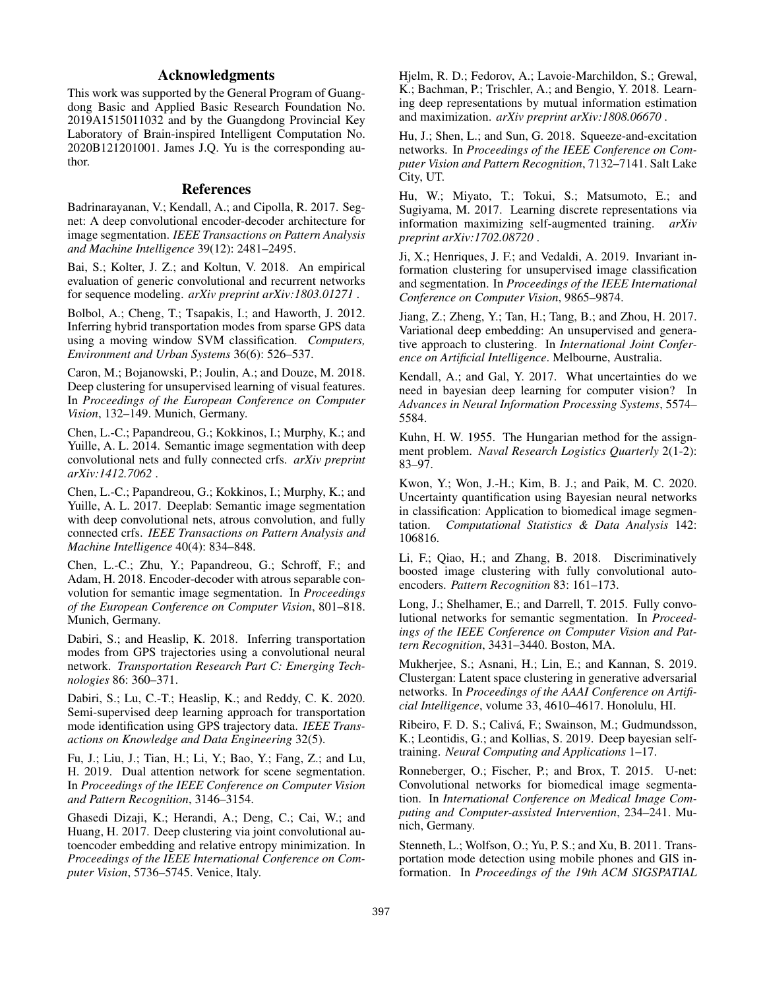# Acknowledgments

This work was supported by the General Program of Guangdong Basic and Applied Basic Research Foundation No. 2019A1515011032 and by the Guangdong Provincial Key Laboratory of Brain-inspired Intelligent Computation No. 2020B121201001. James J.Q. Yu is the corresponding author.

# References

Badrinarayanan, V.; Kendall, A.; and Cipolla, R. 2017. Segnet: A deep convolutional encoder-decoder architecture for image segmentation. *IEEE Transactions on Pattern Analysis and Machine Intelligence* 39(12): 2481–2495.

Bai, S.; Kolter, J. Z.; and Koltun, V. 2018. An empirical evaluation of generic convolutional and recurrent networks for sequence modeling. *arXiv preprint arXiv:1803.01271* .

Bolbol, A.; Cheng, T.; Tsapakis, I.; and Haworth, J. 2012. Inferring hybrid transportation modes from sparse GPS data using a moving window SVM classification. *Computers, Environment and Urban Systems* 36(6): 526–537.

Caron, M.; Bojanowski, P.; Joulin, A.; and Douze, M. 2018. Deep clustering for unsupervised learning of visual features. In *Proceedings of the European Conference on Computer Vision*, 132–149. Munich, Germany.

Chen, L.-C.; Papandreou, G.; Kokkinos, I.; Murphy, K.; and Yuille, A. L. 2014. Semantic image segmentation with deep convolutional nets and fully connected crfs. *arXiv preprint arXiv:1412.7062* .

Chen, L.-C.; Papandreou, G.; Kokkinos, I.; Murphy, K.; and Yuille, A. L. 2017. Deeplab: Semantic image segmentation with deep convolutional nets, atrous convolution, and fully connected crfs. *IEEE Transactions on Pattern Analysis and Machine Intelligence* 40(4): 834–848.

Chen, L.-C.; Zhu, Y.; Papandreou, G.; Schroff, F.; and Adam, H. 2018. Encoder-decoder with atrous separable convolution for semantic image segmentation. In *Proceedings of the European Conference on Computer Vision*, 801–818. Munich, Germany.

Dabiri, S.; and Heaslip, K. 2018. Inferring transportation modes from GPS trajectories using a convolutional neural network. *Transportation Research Part C: Emerging Technologies* 86: 360–371.

Dabiri, S.; Lu, C.-T.; Heaslip, K.; and Reddy, C. K. 2020. Semi-supervised deep learning approach for transportation mode identification using GPS trajectory data. *IEEE Transactions on Knowledge and Data Engineering* 32(5).

Fu, J.; Liu, J.; Tian, H.; Li, Y.; Bao, Y.; Fang, Z.; and Lu, H. 2019. Dual attention network for scene segmentation. In *Proceedings of the IEEE Conference on Computer Vision and Pattern Recognition*, 3146–3154.

Ghasedi Dizaji, K.; Herandi, A.; Deng, C.; Cai, W.; and Huang, H. 2017. Deep clustering via joint convolutional autoencoder embedding and relative entropy minimization. In *Proceedings of the IEEE International Conference on Computer Vision*, 5736–5745. Venice, Italy.

Hjelm, R. D.; Fedorov, A.; Lavoie-Marchildon, S.; Grewal, K.; Bachman, P.; Trischler, A.; and Bengio, Y. 2018. Learning deep representations by mutual information estimation and maximization. *arXiv preprint arXiv:1808.06670* .

Hu, J.; Shen, L.; and Sun, G. 2018. Squeeze-and-excitation networks. In *Proceedings of the IEEE Conference on Computer Vision and Pattern Recognition*, 7132–7141. Salt Lake City, UT.

Hu, W.; Miyato, T.; Tokui, S.; Matsumoto, E.; and Sugiyama, M. 2017. Learning discrete representations via information maximizing self-augmented training. *arXiv preprint arXiv:1702.08720* .

Ji, X.; Henriques, J. F.; and Vedaldi, A. 2019. Invariant information clustering for unsupervised image classification and segmentation. In *Proceedings of the IEEE International Conference on Computer Vision*, 9865–9874.

Jiang, Z.; Zheng, Y.; Tan, H.; Tang, B.; and Zhou, H. 2017. Variational deep embedding: An unsupervised and generative approach to clustering. In *International Joint Conference on Artificial Intelligence*. Melbourne, Australia.

Kendall, A.; and Gal, Y. 2017. What uncertainties do we need in bayesian deep learning for computer vision? In *Advances in Neural Information Processing Systems*, 5574– 5584.

Kuhn, H. W. 1955. The Hungarian method for the assignment problem. *Naval Research Logistics Quarterly* 2(1-2): 83–97.

Kwon, Y.; Won, J.-H.; Kim, B. J.; and Paik, M. C. 2020. Uncertainty quantification using Bayesian neural networks in classification: Application to biomedical image segmentation. *Computational Statistics & Data Analysis* 142: 106816.

Li, F.; Qiao, H.; and Zhang, B. 2018. Discriminatively boosted image clustering with fully convolutional autoencoders. *Pattern Recognition* 83: 161–173.

Long, J.; Shelhamer, E.; and Darrell, T. 2015. Fully convolutional networks for semantic segmentation. In *Proceedings of the IEEE Conference on Computer Vision and Pattern Recognition*, 3431–3440. Boston, MA.

Mukherjee, S.; Asnani, H.; Lin, E.; and Kannan, S. 2019. Clustergan: Latent space clustering in generative adversarial networks. In *Proceedings of the AAAI Conference on Artificial Intelligence*, volume 33, 4610–4617. Honolulu, HI.

Ribeiro, F. D. S.; Caliva, F.; Swainson, M.; Gudmundsson, ´ K.; Leontidis, G.; and Kollias, S. 2019. Deep bayesian selftraining. *Neural Computing and Applications* 1–17.

Ronneberger, O.; Fischer, P.; and Brox, T. 2015. U-net: Convolutional networks for biomedical image segmentation. In *International Conference on Medical Image Computing and Computer-assisted Intervention*, 234–241. Munich, Germany.

Stenneth, L.; Wolfson, O.; Yu, P. S.; and Xu, B. 2011. Transportation mode detection using mobile phones and GIS information. In *Proceedings of the 19th ACM SIGSPATIAL*